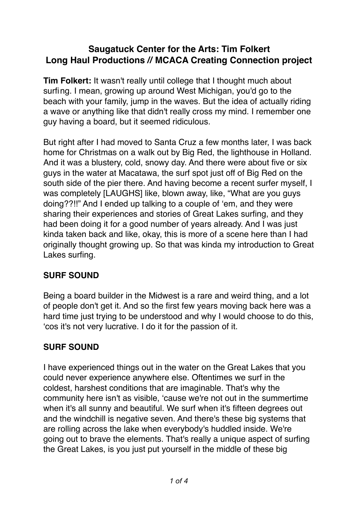# **Saugatuck Center for the Arts: Tim Folkert Long Haul Productions // MCACA Creating Connection project**

**Tim Folkert:** It wasn't really until college that I thought much about surfing. I mean, growing up around West Michigan, you'd go to the beach with your family, jump in the waves. But the idea of actually riding a wave or anything like that didn't really cross my mind. I remember one guy having a board, but it seemed ridiculous.

But right after I had moved to Santa Cruz a few months later, I was back home for Christmas on a walk out by Big Red, the lighthouse in Holland. And it was a blustery, cold, snowy day. And there were about five or six guys in the water at Macatawa, the surf spot just off of Big Red on the south side of the pier there. And having become a recent surfer myself, I was completely [LAUGHS] like, blown away, like, "What are you guys doing??!!" And I ended up talking to a couple of 'em, and they were sharing their experiences and stories of Great Lakes surfing, and they had been doing it for a good number of years already. And I was just kinda taken back and like, okay, this is more of a scene here than I had originally thought growing up. So that was kinda my introduction to Great Lakes surfing.

## **SURF SOUND**

Being a board builder in the Midwest is a rare and weird thing, and a lot of people don't get it. And so the first few years moving back here was a hard time just trying to be understood and why I would choose to do this, 'cos it's not very lucrative. I do it for the passion of it.

## **SURF SOUND**

I have experienced things out in the water on the Great Lakes that you could never experience anywhere else. Oftentimes we surf in the coldest, harshest conditions that are imaginable. That's why the community here isn't as visible, 'cause we're not out in the summertime when it's all sunny and beautiful. We surf when it's fifteen degrees out and the windchill is negative seven. And there's these big systems that are rolling across the lake when everybody's huddled inside. We're going out to brave the elements. That's really a unique aspect of surfing the Great Lakes, is you just put yourself in the middle of these big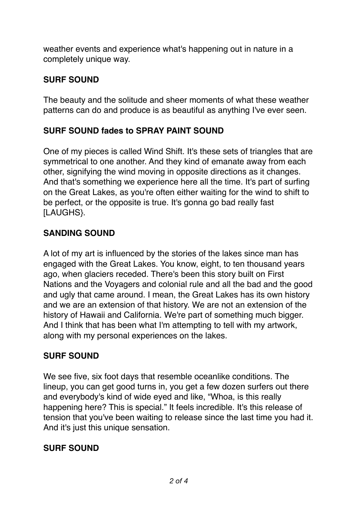weather events and experience what's happening out in nature in a completely unique way.

#### **SURF SOUND**

The beauty and the solitude and sheer moments of what these weather patterns can do and produce is as beautiful as anything I've ever seen.

### **SURF SOUND fades to SPRAY PAINT SOUND**

One of my pieces is called Wind Shift. It's these sets of triangles that are symmetrical to one another. And they kind of emanate away from each other, signifying the wind moving in opposite directions as it changes. And that's something we experience here all the time. It's part of surfing on the Great Lakes, as you're often either waiting for the wind to shift to be perfect, or the opposite is true. It's gonna go bad really fast [LAUGHS}.

### **SANDING SOUND**

A lot of my art is influenced by the stories of the lakes since man has engaged with the Great Lakes. You know, eight, to ten thousand years ago, when glaciers receded. There's been this story built on First Nations and the Voyagers and colonial rule and all the bad and the good and ugly that came around. I mean, the Great Lakes has its own history and we are an extension of that history. We are not an extension of the history of Hawaii and California. We're part of something much bigger. And I think that has been what I'm attempting to tell with my artwork, along with my personal experiences on the lakes.

## **SURF SOUND**

We see five, six foot days that resemble oceanlike conditions. The lineup, you can get good turns in, you get a few dozen surfers out there and everybody's kind of wide eyed and like, "Whoa, is this really happening here? This is special." It feels incredible. It's this release of tension that you've been waiting to release since the last time you had it. And it's just this unique sensation.

#### **SURF SOUND**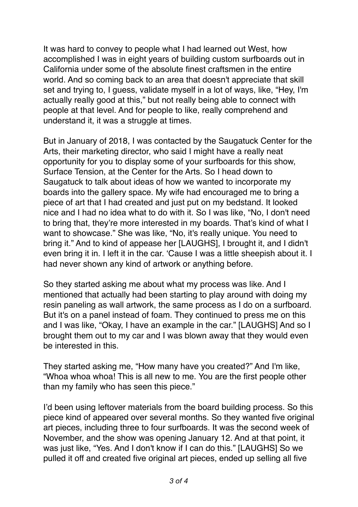It was hard to convey to people what I had learned out West, how accomplished I was in eight years of building custom surfboards out in California under some of the absolute finest craftsmen in the entire world. And so coming back to an area that doesn't appreciate that skill set and trying to, I guess, validate myself in a lot of ways, like, "Hey, I'm actually really good at this," but not really being able to connect with people at that level. And for people to like, really comprehend and understand it, it was a struggle at times.

But in January of 2018, I was contacted by the Saugatuck Center for the Arts, their marketing director, who said I might have a really neat opportunity for you to display some of your surfboards for this show, Surface Tension, at the Center for the Arts. So I head down to Saugatuck to talk about ideas of how we wanted to incorporate my boards into the gallery space. My wife had encouraged me to bring a piece of art that I had created and just put on my bedstand. It looked nice and I had no idea what to do with it. So I was like, "No, I don't need to bring that, they're more interested in my boards. That's kind of what I want to showcase." She was like, "No, it's really unique. You need to bring it." And to kind of appease her [LAUGHS], I brought it, and I didn't even bring it in. I left it in the car. 'Cause I was a little sheepish about it. I had never shown any kind of artwork or anything before.

So they started asking me about what my process was like. And I mentioned that actually had been starting to play around with doing my resin paneling as wall artwork, the same process as I do on a surfboard. But it's on a panel instead of foam. They continued to press me on this and I was like, "Okay, I have an example in the car." [LAUGHS] And so I brought them out to my car and I was blown away that they would even be interested in this.

They started asking me, "How many have you created?" And I'm like, "Whoa whoa whoa! This is all new to me. You are the first people other than my family who has seen this piece."

I'd been using leftover materials from the board building process. So this piece kind of appeared over several months. So they wanted five original art pieces, including three to four surfboards. It was the second week of November, and the show was opening January 12. And at that point, it was just like, "Yes. And I don't know if I can do this." [LAUGHS] So we pulled it off and created five original art pieces, ended up selling all five